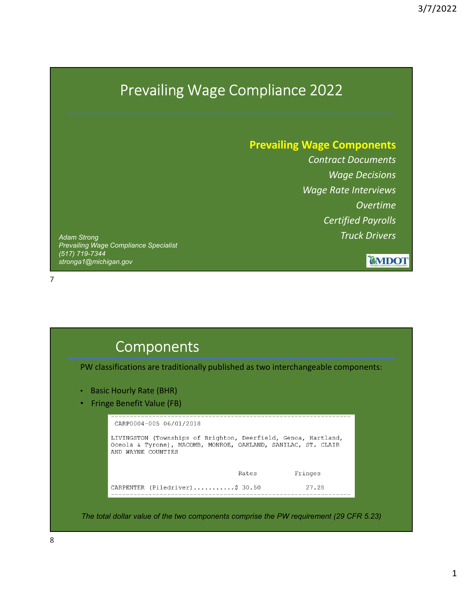## Prevailing Wage Compliance 2022

Prevailing Wage Components Contract Documents Wage Decisions Wage Rate Interviews Overtime Certified Payrolls Truck Drivers

CMDOT

Adam Strong Prevailing Wage Compliance Specialist (517) 719-7344 stronga1@michigan.gov

7



The total dollar value of the two components comprise the PW requirement (29 CFR 5.23)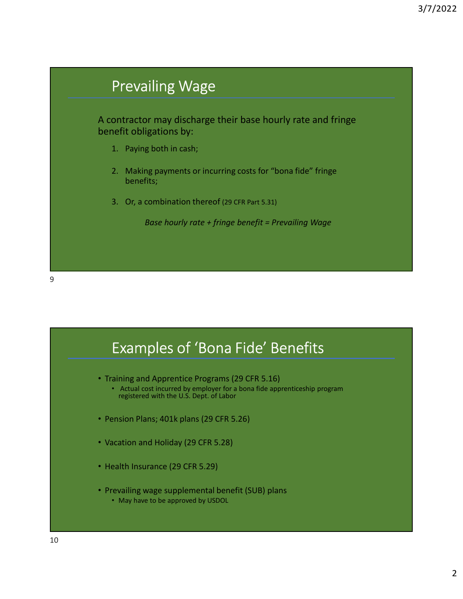



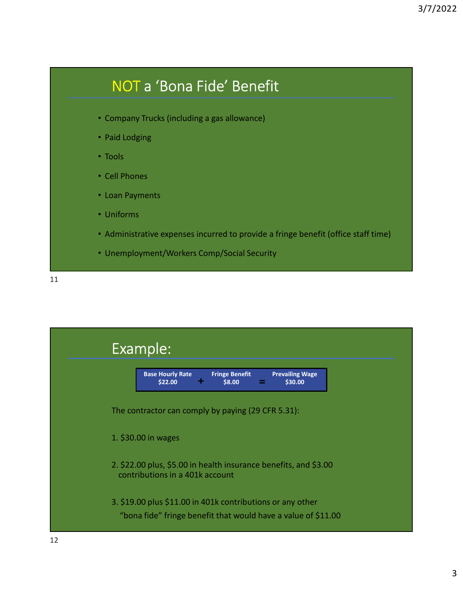## NOT a 'Bona Fide' Benefit

- Company Trucks (including a gas allowance)
- Paid Lodging
- Tools
- Cell Phones
- Loan Payments
- Uniforms
- Administrative expenses incurred to provide a fringe benefit (office staff time)
- Unemployment/Workers Comp/Social Security

11

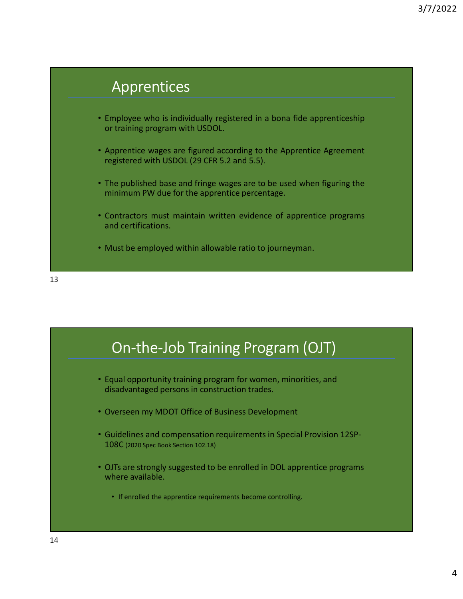



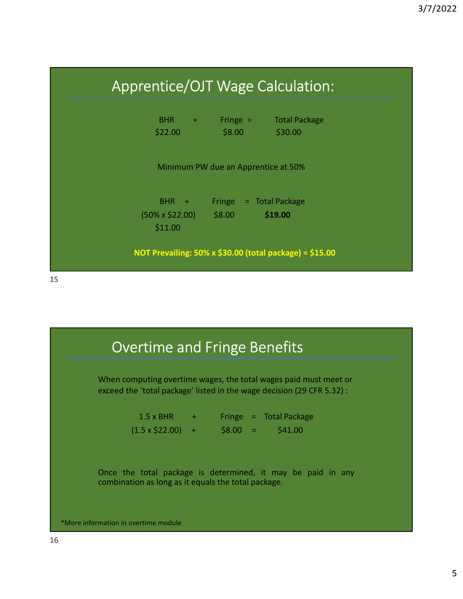



\*More information in overtime module